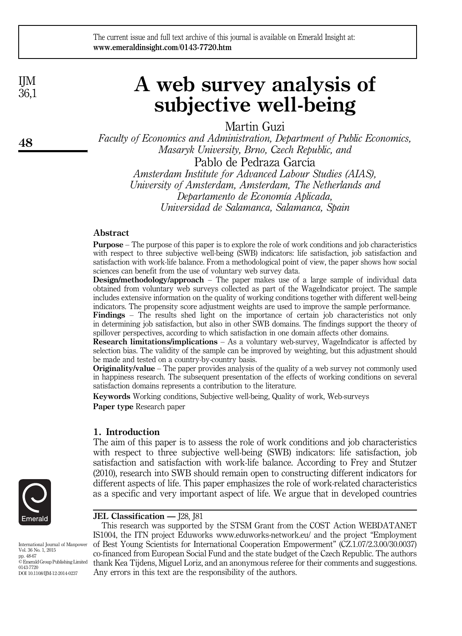IJM 36,1

48

# A web survey analysis of subjective well-being

Martin Guzi

Faculty of Economics and Administration, Department of Public Economics, Masaryk University, Brno, Czech Republic, and Pablo de Pedraza García

Amsterdam Institute for Advanced Labour Studies (AIAS), University of Amsterdam, Amsterdam, The Netherlands and Departamento de Economía Aplicada, Universidad de Salamanca, Salamanca, Spain

### Abstract

Purpose – The purpose of this paper is to explore the role of work conditions and job characteristics with respect to three subjective well-being (SWB) indicators: life satisfaction, job satisfaction and satisfaction with work-life balance. From a methodological point of view, the paper shows how social sciences can benefit from the use of voluntary web survey data.

Design/methodology/approach – The paper makes use of a large sample of individual data obtained from voluntary web surveys collected as part of the WageIndicator project. The sample includes extensive information on the quality of working conditions together with different well-being indicators. The propensity score adjustment weights are used to improve the sample performance.

Findings – The results shed light on the importance of certain job characteristics not only in determining job satisfaction, but also in other SWB domains. The findings support the theory of spillover perspectives, according to which satisfaction in one domain affects other domains.

Research limitations/implications – As a voluntary web-survey, WageIndicator is affected by selection bias. The validity of the sample can be improved by weighting, but this adjustment should be made and tested on a country-by-country basis.

Originality/value – The paper provides analysis of the quality of a web survey not commonly used in happiness research. The subsequent presentation of the effects of working conditions on several satisfaction domains represents a contribution to the literature.

Keywords Working conditions, Subjective well-being, Quality of work, Web-surveys Paper type Research paper

#### 1. Introduction

The aim of this paper is to assess the role of work conditions and job characteristics with respect to three subjective well-being (SWB) indicators: life satisfaction, job satisfaction and satisfaction with work-life balance. According to Frey and Stutzer (2010), research into SWB should remain open to constructing different indicators for different aspects of life. This paper emphasizes the role of work-related characteristics as a specific and very important aspect of life. We argue that in developed countries



JEL Classification — [28, [81]

This research was supported by the STSM Grant from the COST Action WEBDATANET IS1004, the ITN project Eduworks www.eduworks-network.eu/ and the project "Employment of Best Young Scientists for International Cooperation Empowerment" (CZ.1.07/2.3.00/30.0037) co-financed from European Social Fund and the state budget of the Czech Republic. The authors thank Kea Tijdens, Miguel Loriz, and an anonymous referee for their comments and suggestions. Any errors in this text are the responsibility of the authors.

International Journal of Manpower Vol. 36 No. 1, 2015 pp. 48-67 © Emerald Group Publishing Limited 0143-7720 DOI 10.1108/IJM-12-2014-0237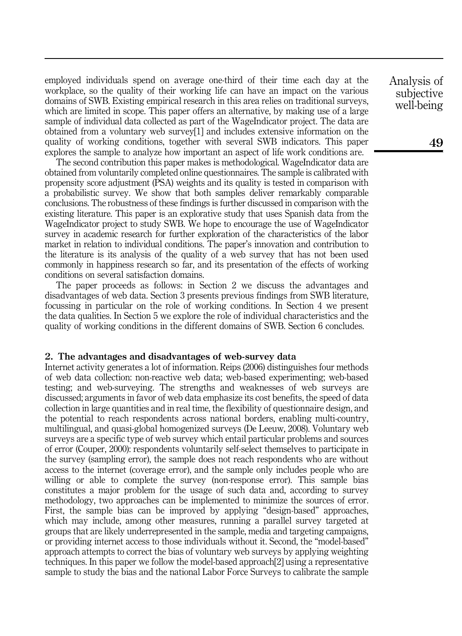employed individuals spend on average one-third of their time each day at the workplace, so the quality of their working life can have an impact on the various domains of SWB. Existing empirical research in this area relies on traditional surveys, which are limited in scope. This paper offers an alternative, by making use of a large sample of individual data collected as part of the WageIndicator project. The data are obtained from a voluntary web survey[1] and includes extensive information on the quality of working conditions, together with several SWB indicators. This paper explores the sample to analyze how important an aspect of life work conditions are.

The second contribution this paper makes is methodological. WageIndicator data are obtained from voluntarily completed online questionnaires. The sample is calibrated with propensity score adjustment (PSA) weights and its quality is tested in comparison with a probabilistic survey. We show that both samples deliver remarkably comparable conclusions. The robustness of these findings is further discussed in comparison with the existing literature. This paper is an explorative study that uses Spanish data from the WageIndicator project to study SWB. We hope to encourage the use of WageIndicator survey in academic research for further exploration of the characteristics of the labor market in relation to individual conditions. The paper's innovation and contribution to the literature is its analysis of the quality of a web survey that has not been used commonly in happiness research so far, and its presentation of the effects of working conditions on several satisfaction domains.

The paper proceeds as follows: in Section 2 we discuss the advantages and disadvantages of web data. Section 3 presents previous findings from SWB literature, focussing in particular on the role of working conditions. In Section 4 we present the data qualities. In Section 5 we explore the role of individual characteristics and the quality of working conditions in the different domains of SWB. Section 6 concludes.

#### 2. The advantages and disadvantages of web-survey data

Internet activity generates a lot of information. Reips (2006) distinguishes four methods of web data collection: non-reactive web data; web-based experimenting; web-based testing; and web-surveying. The strengths and weaknesses of web surveys are discussed; arguments in favor of web data emphasize its cost benefits, the speed of data collection in large quantities and in real time, the flexibility of questionnaire design, and the potential to reach respondents across national borders, enabling multi-country, multilingual, and quasi-global homogenized surveys (De Leeuw, 2008). Voluntary web surveys are a specific type of web survey which entail particular problems and sources of error (Couper, 2000): respondents voluntarily self-select themselves to participate in the survey (sampling error), the sample does not reach respondents who are without access to the internet (coverage error), and the sample only includes people who are willing or able to complete the survey (non-response error). This sample bias constitutes a major problem for the usage of such data and, according to survey methodology, two approaches can be implemented to minimize the sources of error. First, the sample bias can be improved by applying "design-based" approaches, which may include, among other measures, running a parallel survey targeted at groups that are likely underrepresented in the sample, media and targeting campaigns, or providing internet access to those individuals without it. Second, the "model-based" approach attempts to correct the bias of voluntary web surveys by applying weighting techniques. In this paper we follow the model-based approach[2] using a representative sample to study the bias and the national Labor Force Surveys to calibrate the sample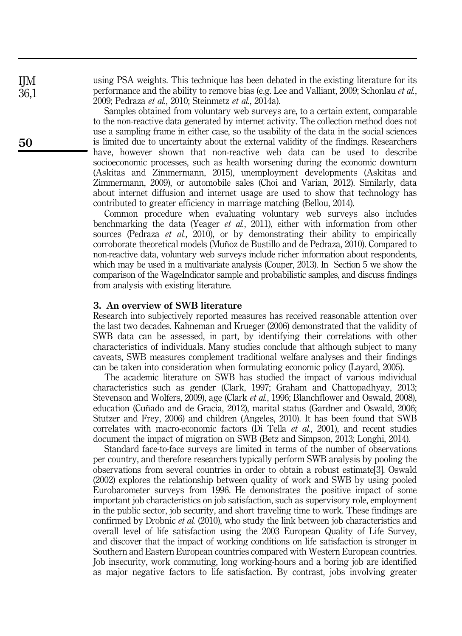using PSA weights. This technique has been debated in the existing literature for its performance and the ability to remove bias (e.g. Lee and Valliant, 2009; Schonlau et al., 2009; Pedraza et al., 2010; Steinmetz et al., 2014a).

Samples obtained from voluntary web surveys are, to a certain extent, comparable to the non-reactive data generated by internet activity. The collection method does not use a sampling frame in either case, so the usability of the data in the social sciences is limited due to uncertainty about the external validity of the findings. Researchers have, however shown that non-reactive web data can be used to describe socioeconomic processes, such as health worsening during the economic downturn (Askitas and Zimmermann, 2015), unemployment developments (Askitas and Zimmermann, 2009), or automobile sales (Choi and Varian, 2012). Similarly, data about internet diffusion and internet usage are used to show that technology has contributed to greater efficiency in marriage matching (Bellou, 2014).

Common procedure when evaluating voluntary web surveys also includes benchmarking the data (Yeager et al., 2011), either with information from other sources (Pedraza *et al.*, 2010), or by demonstrating their ability to empirically corroborate theoretical models (Muñoz de Bustillo and de Pedraza, 2010). Compared to non-reactive data, voluntary web surveys include richer information about respondents, which may be used in a multivariate analysis (Couper, 2013). In Section 5 we show the comparison of the WageIndicator sample and probabilistic samples, and discuss findings from analysis with existing literature.

#### 3. An overview of SWB literature

Research into subjectively reported measures has received reasonable attention over the last two decades. Kahneman and Krueger (2006) demonstrated that the validity of SWB data can be assessed, in part, by identifying their correlations with other characteristics of individuals. Many studies conclude that although subject to many caveats, SWB measures complement traditional welfare analyses and their findings can be taken into consideration when formulating economic policy (Layard, 2005).

The academic literature on SWB has studied the impact of various individual characteristics such as gender (Clark, 1997; Graham and Chattopadhyay, 2013; Stevenson and Wolfers, 2009), age (Clark et al., 1996; Blanchflower and Oswald, 2008), education (Cuñado and de Gracia, 2012), marital status (Gardner and Oswald, 2006; Stutzer and Frey, 2006) and children (Angeles, 2010). It has been found that SWB correlates with macro-economic factors (Di Tella et al., 2001), and recent studies document the impact of migration on SWB (Betz and Simpson, 2013; Longhi, 2014).

Standard face-to-face surveys are limited in terms of the number of observations per country, and therefore researchers typically perform SWB analysis by pooling the observations from several countries in order to obtain a robust estimate[3]. Oswald (2002) explores the relationship between quality of work and SWB by using pooled Eurobarometer surveys from 1996. He demonstrates the positive impact of some important job characteristics on job satisfaction, such as supervisory role, employment in the public sector, job security, and short traveling time to work. These findings are confirmed by Drobnic et al. (2010), who study the link between job characteristics and overall level of life satisfaction using the 2003 European Quality of Life Survey, and discover that the impact of working conditions on life satisfaction is stronger in Southern and Eastern European countries compared with Western European countries. Job insecurity, work commuting, long working-hours and a boring job are identified as major negative factors to life satisfaction. By contrast, jobs involving greater

IJM 36,1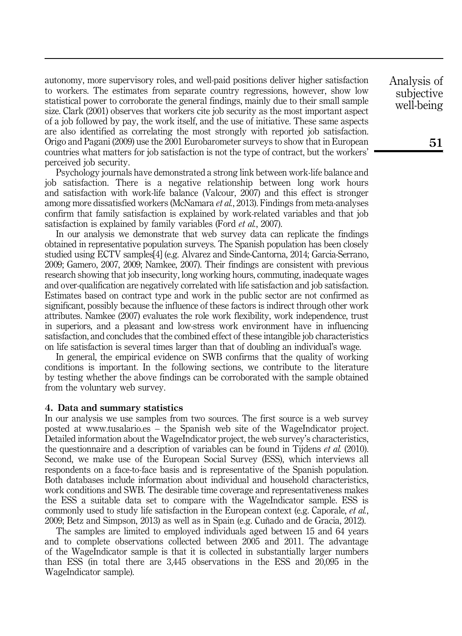autonomy, more supervisory roles, and well-paid positions deliver higher satisfaction to workers. The estimates from separate country regressions, however, show low statistical power to corroborate the general findings, mainly due to their small sample size. Clark (2001) observes that workers cite job security as the most important aspect of a job followed by pay, the work itself, and the use of initiative. These same aspects are also identified as correlating the most strongly with reported job satisfaction. Origo and Pagani (2009) use the 2001 Eurobarometer surveys to show that in European countries what matters for job satisfaction is not the type of contract, but the workers' perceived job security.

Psychology journals have demonstrated a strong link between work-life balance and job satisfaction. There is a negative relationship between long work hours and satisfaction with work-life balance (Valcour, 2007) and this effect is stronger among more dissatisfied workers (McNamara *et al.*, 2013). Findings from meta-analyses confirm that family satisfaction is explained by work-related variables and that job satisfaction is explained by family variables (Ford *et al.*, 2007).

In our analysis we demonstrate that web survey data can replicate the findings obtained in representative population surveys. The Spanish population has been closely studied using ECTV samples[4] (e.g. Alvarez and Sinde-Cantorna, 2014; Garcia-Serrano, 2009; Gamero, 2007, 2009; Namkee, 2007). Their findings are consistent with previous research showing that job insecurity, long working hours, commuting, inadequate wages and over-qualification are negatively correlated with life satisfaction and job satisfaction. Estimates based on contract type and work in the public sector are not confirmed as significant, possibly because the influence of these factors is indirect through other work attributes. Namkee (2007) evaluates the role work flexibility, work independence, trust in superiors, and a pleasant and low-stress work environment have in influencing satisfaction, and concludes that the combined effect of these intangible job characteristics on life satisfaction is several times larger than that of doubling an individual's wage.

In general, the empirical evidence on SWB confirms that the quality of working conditions is important. In the following sections, we contribute to the literature by testing whether the above findings can be corroborated with the sample obtained from the voluntary web survey.

#### 4. Data and summary statistics

In our analysis we use samples from two sources. The first source is a web survey posted at www.tusalario.es – the Spanish web site of the WageIndicator project. Detailed information about the WageIndicator project, the web survey's characteristics, the questionnaire and a description of variables can be found in Tijdens *et al.* (2010). Second, we make use of the European Social Survey (ESS), which interviews all respondents on a face-to-face basis and is representative of the Spanish population. Both databases include information about individual and household characteristics, work conditions and SWB. The desirable time coverage and representativeness makes the ESS a suitable data set to compare with the WageIndicator sample. ESS is commonly used to study life satisfaction in the European context (e.g. Caporale, *et al.*, 2009; Betz and Simpson, 2013) as well as in Spain (e.g. Cuñado and de Gracia, 2012).

The samples are limited to employed individuals aged between 15 and 64 years and to complete observations collected between 2005 and 2011. The advantage of the WageIndicator sample is that it is collected in substantially larger numbers than ESS (in total there are 3,445 observations in the ESS and 20,095 in the WageIndicator sample).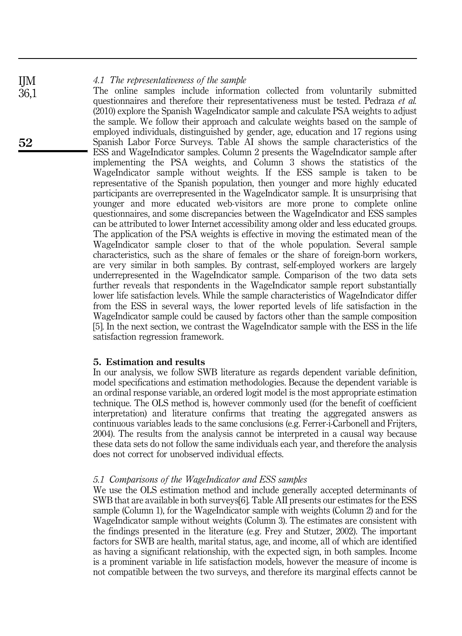The online samples include information collected from voluntarily submitted questionnaires and therefore their representativeness must be tested. Pedraza *et al.* (2010) explore the Spanish WageIndicator sample and calculate PSA weights to adjust the sample. We follow their approach and calculate weights based on the sample of employed individuals, distinguished by gender, age, education and 17 regions using Spanish Labor Force Surveys. Table AI shows the sample characteristics of the ESS and WageIndicator samples. Column 2 presents the WageIndicator sample after implementing the PSA weights, and Column 3 shows the statistics of the WageIndicator sample without weights. If the ESS sample is taken to be representative of the Spanish population, then younger and more highly educated participants are overrepresented in the WageIndicator sample. It is unsurprising that younger and more educated web-visitors are more prone to complete online questionnaires, and some discrepancies between the WageIndicator and ESS samples can be attributed to lower Internet accessibility among older and less educated groups. The application of the PSA weights is effective in moving the estimated mean of the WageIndicator sample closer to that of the whole population. Several sample characteristics, such as the share of females or the share of foreign-born workers, are very similar in both samples. By contrast, self-employed workers are largely underrepresented in the WageIndicator sample. Comparison of the two data sets further reveals that respondents in the WageIndicator sample report substantially lower life satisfaction levels. While the sample characteristics of WageIndicator differ from the ESS in several ways, the lower reported levels of life satisfaction in the WageIndicator sample could be caused by factors other than the sample composition [5]. In the next section, we contrast the WageIndicator sample with the ESS in the life satisfaction regression framework. 52 36,1

## 5. Estimation and results

In our analysis, we follow SWB literature as regards dependent variable definition, model specifications and estimation methodologies. Because the dependent variable is an ordinal response variable, an ordered logit model is the most appropriate estimation technique. The OLS method is, however commonly used (for the benefit of coefficient interpretation) and literature confirms that treating the aggregated answers as continuous variables leads to the same conclusions (e.g. Ferrer-i-Carbonell and Frijters, 2004). The results from the analysis cannot be interpreted in a causal way because these data sets do not follow the same individuals each year, and therefore the analysis does not correct for unobserved individual effects.

# 5.1 Comparisons of the WageIndicator and ESS samples

We use the OLS estimation method and include generally accepted determinants of SWB that are available in both surveys[6]. Table AII presents our estimates for the ESS sample (Column 1), for the WageIndicator sample with weights (Column 2) and for the WageIndicator sample without weights (Column 3). The estimates are consistent with the findings presented in the literature (e.g. Frey and Stutzer, 2002). The important factors for SWB are health, marital status, age, and income, all of which are identified as having a significant relationship, with the expected sign, in both samples. Income is a prominent variable in life satisfaction models, however the measure of income is not compatible between the two surveys, and therefore its marginal effects cannot be

<sup>4.1</sup> The representativeness of the sample IJM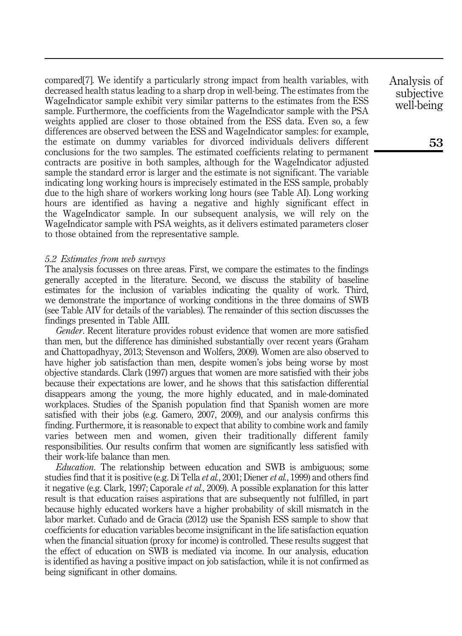compared[7]. We identify a particularly strong impact from health variables, with decreased health status leading to a sharp drop in well-being. The estimates from the WageIndicator sample exhibit very similar patterns to the estimates from the ESS sample. Furthermore, the coefficients from the WageIndicator sample with the PSA weights applied are closer to those obtained from the ESS data. Even so, a few differences are observed between the ESS and WageIndicator samples: for example, the estimate on dummy variables for divorced individuals delivers different conclusions for the two samples. The estimated coefficients relating to permanent contracts are positive in both samples, although for the WageIndicator adjusted sample the standard error is larger and the estimate is not significant. The variable indicating long working hours is imprecisely estimated in the ESS sample, probably due to the high share of workers working long hours (see Table AI). Long working hours are identified as having a negative and highly significant effect in the WageIndicator sample. In our subsequent analysis, we will rely on the WageIndicator sample with PSA weights, as it delivers estimated parameters closer to those obtained from the representative sample.

#### 5.2 Estimates from web surveys

The analysis focusses on three areas. First, we compare the estimates to the findings generally accepted in the literature. Second, we discuss the stability of baseline estimates for the inclusion of variables indicating the quality of work. Third, we demonstrate the importance of working conditions in the three domains of SWB (see Table AIV for details of the variables). The remainder of this section discusses the findings presented in Table AIII.

Gender. Recent literature provides robust evidence that women are more satisfied than men, but the difference has diminished substantially over recent years (Graham and Chattopadhyay, 2013; Stevenson and Wolfers, 2009). Women are also observed to have higher job satisfaction than men, despite women's jobs being worse by most objective standards. Clark (1997) argues that women are more satisfied with their jobs because their expectations are lower, and he shows that this satisfaction differential disappears among the young, the more highly educated, and in male-dominated workplaces. Studies of the Spanish population find that Spanish women are more satisfied with their jobs (e.g. Gamero, 2007, 2009), and our analysis confirms this finding. Furthermore, it is reasonable to expect that ability to combine work and family varies between men and women, given their traditionally different family responsibilities. Our results confirm that women are significantly less satisfied with their work-life balance than men.

Education. The relationship between education and SWB is ambiguous; some studies find that it is positive (e.g. Di Tella *et al.*, 2001; Diener *et al.*, 1999) and others find it negative (e.g. Clark, 1997; Caporale *et al.*, 2009). A possible explanation for this latter result is that education raises aspirations that are subsequently not fulfilled, in part because highly educated workers have a higher probability of skill mismatch in the labor market. Cuñado and de Gracia (2012) use the Spanish ESS sample to show that coefficients for education variables become insignificant in the life satisfaction equation when the financial situation (proxy for income) is controlled. These results suggest that the effect of education on SWB is mediated via income. In our analysis, education is identified as having a positive impact on job satisfaction, while it is not confirmed as being significant in other domains.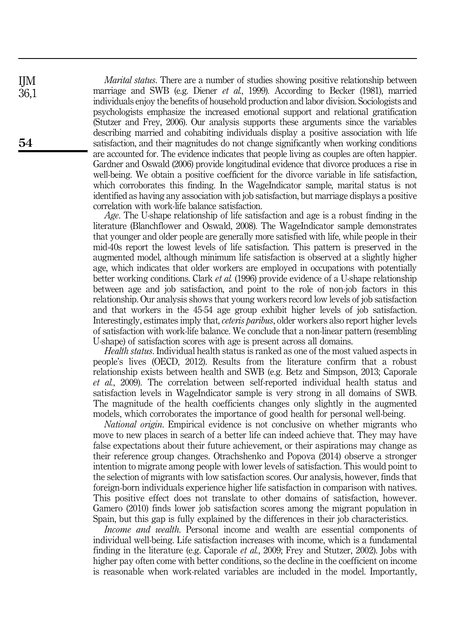Marital status. There are a number of studies showing positive relationship between marriage and SWB (e.g. Diener *et al.*, 1999). According to Becker (1981), married individuals enjoy the benefits of household production and labor division. Sociologists and psychologists emphasize the increased emotional support and relational gratification (Stutzer and Frey, 2006). Our analysis supports these arguments since the variables describing married and cohabiting individuals display a positive association with life satisfaction, and their magnitudes do not change significantly when working conditions are accounted for. The evidence indicates that people living as couples are often happier. Gardner and Oswald (2006) provide longitudinal evidence that divorce produces a rise in well-being. We obtain a positive coefficient for the divorce variable in life satisfaction, which corroborates this finding. In the WageIndicator sample, marital status is not identified as having any association with job satisfaction, but marriage displays a positive correlation with work-life balance satisfaction.

Age. The U-shape relationship of life satisfaction and age is a robust finding in the literature (Blanchflower and Oswald, 2008). The WageIndicator sample demonstrates that younger and older people are generally more satisfied with life, while people in their mid-40s report the lowest levels of life satisfaction. This pattern is preserved in the augmented model, although minimum life satisfaction is observed at a slightly higher age, which indicates that older workers are employed in occupations with potentially better working conditions. Clark et al. (1996) provide evidence of a U-shape relationship between age and job satisfaction, and point to the role of non-job factors in this relationship. Our analysis shows that young workers record low levels of job satisfaction and that workers in the 45-54 age group exhibit higher levels of job satisfaction. Interestingly, estimates imply that, ceteris paribus, older workers also report higher levels of satisfaction with work-life balance. We conclude that a non-linear pattern (resembling U-shape) of satisfaction scores with age is present across all domains.

Health status. Individual health status is ranked as one of the most valued aspects in people's lives (OECD, 2012). Results from the literature confirm that a robust relationship exists between health and SWB (e.g. Betz and Simpson, 2013; Caporale et al., 2009). The correlation between self-reported individual health status and satisfaction levels in WageIndicator sample is very strong in all domains of SWB. The magnitude of the health coefficients changes only slightly in the augmented models, which corroborates the importance of good health for personal well-being.

National origin. Empirical evidence is not conclusive on whether migrants who move to new places in search of a better life can indeed achieve that. They may have false expectations about their future achievement, or their aspirations may change as their reference group changes. Otrachshenko and Popova (2014) observe a stronger intention to migrate among people with lower levels of satisfaction. This would point to the selection of migrants with low satisfaction scores. Our analysis, however, finds that foreign-born individuals experience higher life satisfaction in comparison with natives. This positive effect does not translate to other domains of satisfaction, however. Gamero (2010) finds lower job satisfaction scores among the migrant population in Spain, but this gap is fully explained by the differences in their job characteristics.

Income and wealth. Personal income and wealth are essential components of individual well-being. Life satisfaction increases with income, which is a fundamental finding in the literature (e.g. Caporale et al., 2009; Frey and Stutzer, 2002). Jobs with higher pay often come with better conditions, so the decline in the coefficient on income is reasonable when work-related variables are included in the model. Importantly,

36,1

IJM

54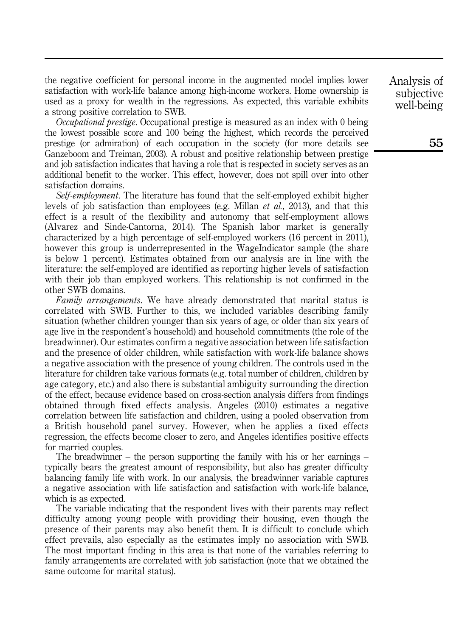the negative coefficient for personal income in the augmented model implies lower satisfaction with work-life balance among high-income workers. Home ownership is used as a proxy for wealth in the regressions. As expected, this variable exhibits a strong positive correlation to SWB.

Occupational prestige. Occupational prestige is measured as an index with 0 being the lowest possible score and 100 being the highest, which records the perceived prestige (or admiration) of each occupation in the society (for more details see Ganzeboom and Treiman, 2003). A robust and positive relationship between prestige and job satisfaction indicates that having a role that is respected in society serves as an additional benefit to the worker. This effect, however, does not spill over into other satisfaction domains.

Self-employment. The literature has found that the self-employed exhibit higher levels of job satisfaction than employees (e.g. Millan *et al.*, 2013), and that this effect is a result of the flexibility and autonomy that self-employment allows (Alvarez and Sinde-Cantorna, 2014). The Spanish labor market is generally characterized by a high percentage of self-employed workers (16 percent in 2011), however this group is underrepresented in the WageIndicator sample (the share is below 1 percent). Estimates obtained from our analysis are in line with the literature: the self-employed are identified as reporting higher levels of satisfaction with their job than employed workers. This relationship is not confirmed in the other SWB domains.

Family arrangements. We have already demonstrated that marital status is correlated with SWB. Further to this, we included variables describing family situation (whether children younger than six years of age, or older than six years of age live in the respondent's household) and household commitments (the role of the breadwinner). Our estimates confirm a negative association between life satisfaction and the presence of older children, while satisfaction with work-life balance shows a negative association with the presence of young children. The controls used in the literature for children take various formats (e.g. total number of children, children by age category, etc.) and also there is substantial ambiguity surrounding the direction of the effect, because evidence based on cross-section analysis differs from findings obtained through fixed effects analysis. Angeles (2010) estimates a negative correlation between life satisfaction and children, using a pooled observation from a British household panel survey. However, when he applies a fixed effects regression, the effects become closer to zero, and Angeles identifies positive effects for married couples.

The breadwinner – the person supporting the family with his or her earnings – typically bears the greatest amount of responsibility, but also has greater difficulty balancing family life with work. In our analysis, the breadwinner variable captures a negative association with life satisfaction and satisfaction with work-life balance, which is as expected.

The variable indicating that the respondent lives with their parents may reflect difficulty among young people with providing their housing, even though the presence of their parents may also benefit them. It is difficult to conclude which effect prevails, also especially as the estimates imply no association with SWB. The most important finding in this area is that none of the variables referring to family arrangements are correlated with job satisfaction (note that we obtained the same outcome for marital status).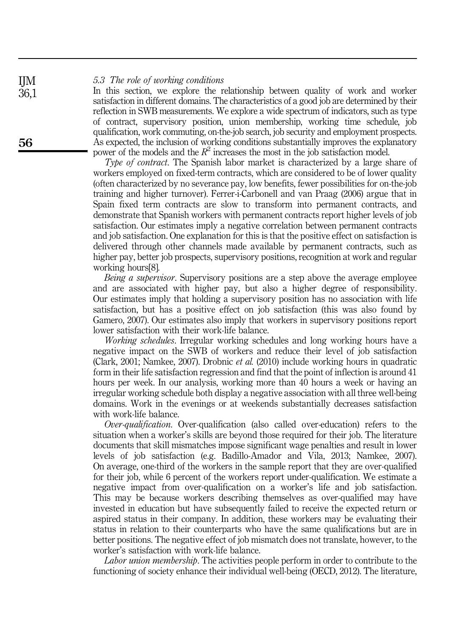#### 5.3 The role of working conditions IJM

In this section, we explore the relationship between quality of work and worker satisfaction in different domains. The characteristics of a good job are determined by their reflection in SWB measurements. We explore a wide spectrum of indicators, such as type of contract, supervisory position, union membership, working time schedule, job qualification, work commuting, on-the-job search, job security and employment prospects. As expected, the inclusion of working conditions substantially improves the explanatory power of the models and the  $R^2$  increases the most in the job satisfaction model.

Type of contract. The Spanish labor market is characterized by a large share of workers employed on fixed-term contracts, which are considered to be of lower quality (often characterized by no severance pay, low benefits, fewer possibilities for on-the-job training and higher turnover). Ferrer-i-Carbonell and van Praag (2006) argue that in Spain fixed term contracts are slow to transform into permanent contracts, and demonstrate that Spanish workers with permanent contracts report higher levels of job satisfaction. Our estimates imply a negative correlation between permanent contracts and job satisfaction. One explanation for this is that the positive effect on satisfaction is delivered through other channels made available by permanent contracts, such as higher pay, better job prospects, supervisory positions, recognition at work and regular working hours[8].

Being a supervisor. Supervisory positions are a step above the average employee and are associated with higher pay, but also a higher degree of responsibility. Our estimates imply that holding a supervisory position has no association with life satisfaction, but has a positive effect on job satisfaction (this was also found by Gamero, 2007). Our estimates also imply that workers in supervisory positions report lower satisfaction with their work-life balance.

Working schedules. Irregular working schedules and long working hours have a negative impact on the SWB of workers and reduce their level of job satisfaction (Clark, 2001; Namkee, 2007). Drobnic *et al.* (2010) include working hours in quadratic form in their life satisfaction regression and find that the point of inflection is around 41 hours per week. In our analysis, working more than 40 hours a week or having an irregular working schedule both display a negative association with all three well-being domains. Work in the evenings or at weekends substantially decreases satisfaction with work-life balance.

Over-qualification. Over-qualification (also called over-education) refers to the situation when a worker's skills are beyond those required for their job. The literature documents that skill mismatches impose significant wage penalties and result in lower levels of job satisfaction (e.g. Badillo-Amador and Vila, 2013; Namkee, 2007). On average, one-third of the workers in the sample report that they are over-qualified for their job, while 6 percent of the workers report under-qualification. We estimate a negative impact from over-qualification on a worker's life and job satisfaction. This may be because workers describing themselves as over-qualified may have invested in education but have subsequently failed to receive the expected return or aspired status in their company. In addition, these workers may be evaluating their status in relation to their counterparts who have the same qualifications but are in better positions. The negative effect of job mismatch does not translate, however, to the worker's satisfaction with work-life balance.

Labor union membership. The activities people perform in order to contribute to the functioning of society enhance their individual well-being (OECD, 2012). The literature,

56

36,1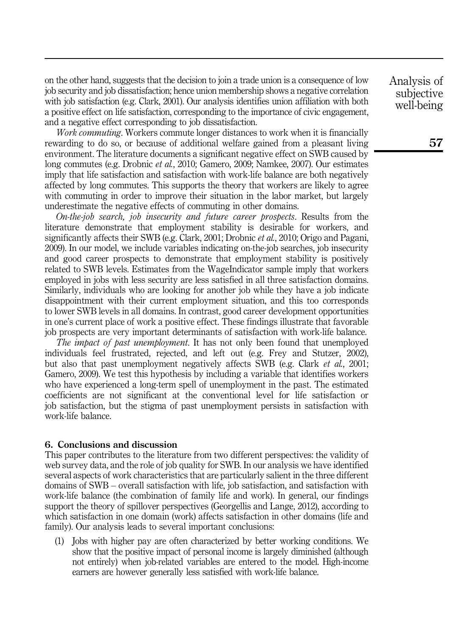on the other hand, suggests that the decision to join a trade union is a consequence of low job security and job dissatisfaction; hence union membership shows a negative correlation with job satisfaction (e.g. Clark, 2001). Our analysis identifies union affiliation with both a positive effect on life satisfaction, corresponding to the importance of civic engagement, and a negative effect corresponding to job dissatisfaction.

Work commuting. Workers commute longer distances to work when it is financially rewarding to do so, or because of additional welfare gained from a pleasant living environment. The literature documents a significant negative effect on SWB caused by long commutes (e.g. Drobnic et al., 2010; Gamero, 2009; Namkee, 2007). Our estimates imply that life satisfaction and satisfaction with work-life balance are both negatively affected by long commutes. This supports the theory that workers are likely to agree with commuting in order to improve their situation in the labor market, but largely underestimate the negative effects of commuting in other domains.

On-the-job search, job insecurity and future career prospects. Results from the literature demonstrate that employment stability is desirable for workers, and significantly affects their SWB (e.g. Clark, 2001; Drobnic *et al.*, 2010; Origo and Pagani, 2009). In our model, we include variables indicating on-the-job searches, job insecurity and good career prospects to demonstrate that employment stability is positively related to SWB levels. Estimates from the WageIndicator sample imply that workers employed in jobs with less security are less satisfied in all three satisfaction domains. Similarly, individuals who are looking for another job while they have a job indicate disappointment with their current employment situation, and this too corresponds to lower SWB levels in all domains. In contrast, good career development opportunities in one's current place of work a positive effect. These findings illustrate that favorable job prospects are very important determinants of satisfaction with work-life balance.

The impact of past unemployment. It has not only been found that unemployed individuals feel frustrated, rejected, and left out (e.g. Frey and Stutzer, 2002), but also that past unemployment negatively affects SWB (e.g. Clark et al., 2001; Gamero, 2009). We test this hypothesis by including a variable that identifies workers who have experienced a long-term spell of unemployment in the past. The estimated coefficients are not significant at the conventional level for life satisfaction or job satisfaction, but the stigma of past unemployment persists in satisfaction with work-life balance.

#### 6. Conclusions and discussion

This paper contributes to the literature from two different perspectives: the validity of web survey data, and the role of job quality for SWB. In our analysis we have identified several aspects of work characteristics that are particularly salient in the three different domains of SWB – overall satisfaction with life, job satisfaction, and satisfaction with work-life balance (the combination of family life and work). In general, our findings support the theory of spillover perspectives (Georgellis and Lange, 2012), according to which satisfaction in one domain (work) affects satisfaction in other domains (life and family). Our analysis leads to several important conclusions:

(1) Jobs with higher pay are often characterized by better working conditions. We show that the positive impact of personal income is largely diminished (although not entirely) when job-related variables are entered to the model. High-income earners are however generally less satisfied with work-life balance.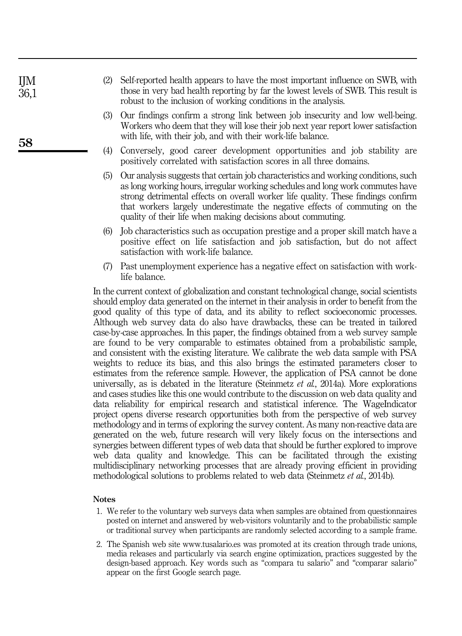- (2) Self-reported health appears to have the most important influence on SWB, with those in very bad health reporting by far the lowest levels of SWB. This result is robust to the inclusion of working conditions in the analysis.
	- (3) Our findings confirm a strong link between job insecurity and low well-being. Workers who deem that they will lose their job next year report lower satisfaction with life, with their job, and with their work-life balance.
	- (4) Conversely, good career development opportunities and job stability are positively correlated with satisfaction scores in all three domains.
	- (5) Our analysis suggests that certain job characteristics and working conditions, such as long working hours, irregular working schedules and long work commutes have strong detrimental effects on overall worker life quality. These findings confirm that workers largely underestimate the negative effects of commuting on the quality of their life when making decisions about commuting.
	- (6) Job characteristics such as occupation prestige and a proper skill match have a positive effect on life satisfaction and job satisfaction, but do not affect satisfaction with work-life balance.
	- (7) Past unemployment experience has a negative effect on satisfaction with worklife balance.

In the current context of globalization and constant technological change, social scientists should employ data generated on the internet in their analysis in order to benefit from the good quality of this type of data, and its ability to reflect socioeconomic processes. Although web survey data do also have drawbacks, these can be treated in tailored case-by-case approaches. In this paper, the findings obtained from a web survey sample are found to be very comparable to estimates obtained from a probabilistic sample, and consistent with the existing literature. We calibrate the web data sample with PSA weights to reduce its bias, and this also brings the estimated parameters closer to estimates from the reference sample. However, the application of PSA cannot be done universally, as is debated in the literature (Steinmetz *et al.*, 2014a). More explorations and cases studies like this one would contribute to the discussion on web data quality and data reliability for empirical research and statistical inference. The WageIndicator project opens diverse research opportunities both from the perspective of web survey methodology and in terms of exploring the survey content. As many non-reactive data are generated on the web, future research will very likely focus on the intersections and synergies between different types of web data that should be further explored to improve web data quality and knowledge. This can be facilitated through the existing multidisciplinary networking processes that are already proving efficient in providing methodological solutions to problems related to web data (Steinmetz et al., 2014b).

#### **Notes**

- 1. We refer to the voluntary web surveys data when samples are obtained from questionnaires posted on internet and answered by web-visitors voluntarily and to the probabilistic sample or traditional survey when participants are randomly selected according to a sample frame.
- 2. The Spanish web site www.tusalario.es was promoted at its creation through trade unions, media releases and particularly via search engine optimization, practices suggested by the design-based approach. Key words such as "compara tu salario" and "comparar salario" appear on the first Google search page.

IJM 36,1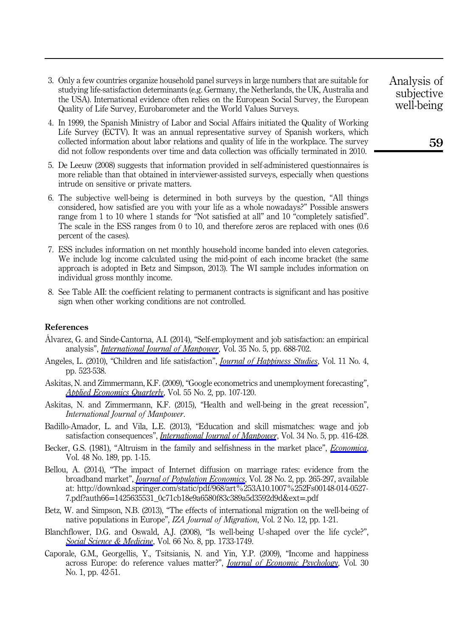- 3. Only a few countries organize household panel surveys in large numbers that are suitable for studying life-satisfaction determinants (e.g. Germany, the Netherlands, the UK, Australia and the USA). International evidence often relies on the European Social Survey, the European Quality of Life Survey, Eurobarometer and the World Values Surveys.
- 4. In 1999, the Spanish Ministry of Labor and Social Affairs initiated the Quality of Working Life Survey (ECTV). It was an annual representative survey of Spanish workers, which collected information about labor relations and quality of life in the workplace. The survey did not follow respondents over time and data collection was officially terminated in 2010.
- 5. De Leeuw (2008) suggests that information provided in self-administered questionnaires is more reliable than that obtained in interviewer-assisted surveys, especially when questions intrude on sensitive or private matters.
- 6. The subjective well-being is determined in both surveys by the question, "All things considered, how satisfied are you with your life as a whole nowadays?" Possible answers range from 1 to 10 where 1 stands for "Not satisfied at all" and 10 "completely satisfied". The scale in the ESS ranges from 0 to 10, and therefore zeros are replaced with ones (0.6 percent of the cases).
- 7. ESS includes information on net monthly household income banded into eleven categories. We include log income calculated using the mid-point of each income bracket (the same approach is adopted in Betz and Simpson, 2013). The WI sample includes information on individual gross monthly income.
- 8. See Table AII: the coefficient relating to permanent contracts is significant and has positive sign when other working conditions are not controlled.

#### References

- Álvarez, G. and Sinde-Cantorna, A.I. (2014), "Self-employment and job satisfaction: an empirical analysis", [International Journal of Manpower](http://www.emeraldinsight.com/action/showLinks?system=10.1108%2FIJM-11-2012-0169&isi=000341870400005), Vol. 35 No. 5, pp. 688-702.
- Angeles, L. (2010), "Children and life satisfaction", *[Journal of Happiness Studies](http://www.emeraldinsight.com/action/showLinks?crossref=10.1007%2Fs10902-009-9168-z&isi=000279592800009)*, Vol. 11 No. 4, pp. 523-538.
- Askitas, N. and Zimmermann, K.F. (2009), "Google econometrics and unemployment forecasting", [Applied Economics Quarterly](http://www.emeraldinsight.com/action/showLinks?crossref=10.3790%2Faeq.55.2.107), Vol. 55 No. 2, pp. 107-120.
- Askitas, N. and Zimmermann, K.F. (2015), "Health and well-being in the great recession", International Journal of Manpower.
- Badillo-Amador, L. and Vila, L.E. (2013), "Education and skill mismatches: wage and job satisfaction consequences", *International Journal of Manbower*, Vol. 34 No. 5, pp. 416-428.
- Becker, G.S. (1981), "Altruism in the family and selfishness in the market place", *[Economica](http://www.emeraldinsight.com/action/showLinks?crossref=10.2307%2F2552939&isi=A1981LF28800001)*, Vol. 48 No. 189, pp. 1-15.
- Bellou, A. (2014), "The impact of Internet diffusion on marriage rates: evidence from the broadband market", *[Journal of Population Economics](http://www.emeraldinsight.com/action/showLinks?crossref=10.1007%2Fs00148-014-0527-7&isi=000348641400001)*, Vol. 28 No. 2, pp. 265-297, available at: http://download.springer.com/static/pdf/968/art%253A10.1007%252Fs00148-014-0527- 7.pdf?auth66=1425635531\_0c71cb18e9a6580f83c389a5d3592d9d&ext=.pdf
- Betz, W. and Simpson, N.B. (2013), "The effects of international migration on the well-being of native populations in Europe", *IZA Journal of Migration*, Vol. 2 No. 12, pp. 1-21.
- Blanchflower, D.G. and Oswald, A.J. (2008), "Is well-being U-shaped over the life cycle?", [Social Science & Medicine](http://www.emeraldinsight.com/action/showLinks?crossref=10.1016%2Fj.socscimed.2008.01.030&isi=000255600900009), Vol. 66 No. 8, pp. 1733-1749.
- Caporale, G.M., Georgellis, Y., Tsitsianis, N. and Yin, Y.P. (2009), "Income and happiness across Europe: do reference values matter?", *[Journal of Economic Psychology](http://www.emeraldinsight.com/action/showLinks?crossref=10.1016%2Fj.joep.2008.06.004&isi=000263696000004)*, Vol. 30 No. 1, pp. 42-51.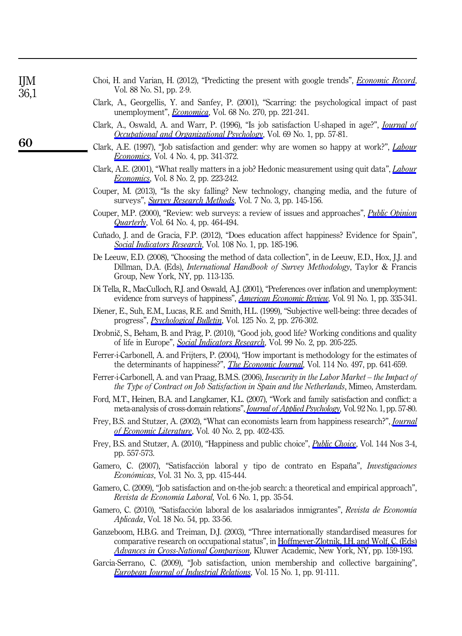| IJM<br>-36,1 | Choi, H. and Varian, H. (2012), "Predicting the present with google trends", <i>Economic Record</i> ,<br>Vol. 88 No. S1, pp. 2-9.                                                            |
|--------------|----------------------------------------------------------------------------------------------------------------------------------------------------------------------------------------------|
|              | Clark, A., Georgellis, Y. and Sanfey, P. (2001), "Scarring: the psychological impact of past<br>unemployment", <i>Economica</i> , Vol. 68 No. 270, pp. 221-241.                              |
|              | Clark, A., Oswald, A. and Warr, P. (1996), "Is job satisfaction U-shaped in age?", <i>Journal of</i><br><i><u>Occupational and Organizational Psychology</u></i> , Vol. 69 No. 1, pp. 57-81. |
| 60           | Clark, A.E. (1997). "Job satisfaction and gender: why are women so happy at work?". <i>Labour</i>                                                                                            |

- Clark, A.E. (1997), "Job satisfaction and gender: why are women so happy at work?", [Labour](http://www.emeraldinsight.com/action/showLinks?crossref=10.1016%2FS0927-5371%2897%2900010-9) [Economics](http://www.emeraldinsight.com/action/showLinks?crossref=10.1016%2FS0927-5371%2897%2900010-9), Vol. 4 No. 4, pp. 341-372.
- Clark, A.E. (2001), "What really matters in a job? Hedonic measurement using quit data", [Labour](http://www.emeraldinsight.com/action/showLinks?crossref=10.1016%2FS0927-5371%2801%2900031-8&isi=000168539500005) [Economics](http://www.emeraldinsight.com/action/showLinks?crossref=10.1016%2FS0927-5371%2801%2900031-8&isi=000168539500005), Vol. 8 No. 2, pp. 223-242.
- Couper, M. (2013), "Is the sky falling? New technology, changing media, and the future of surveys", [Survey Research Methods](http://www.emeraldinsight.com/action/showLinks?isi=000328484700001), Vol. 7 No. 3, pp. 145-156.
- Couper, M.P. (2000), "Review: web surveys: a review of issues and approaches", *[Public Opinion](http://www.emeraldinsight.com/action/showLinks?crossref=10.1086%2F318641&isi=000166841900004)* [Quarterly](http://www.emeraldinsight.com/action/showLinks?crossref=10.1086%2F318641&isi=000166841900004), Vol. 64 No. 4, pp. 464-494.
- Cuñado, J. and de Gracia, F.P. (2012), "Does education affect happiness? Evidence for Spain", [Social Indicators Research](http://www.emeraldinsight.com/action/showLinks?crossref=10.1007%2Fs11205-011-9874-x&isi=000305807300010), Vol. 108 No. 1, pp. 185-196.
- De Leeuw, E.D. (2008), "Choosing the method of data collection", in de Leeuw, E.D., Hox, J.J. and Dillman, D.A. (Eds), International Handbook of Survey Methodology, Taylor & Francis Group, New York, NY, pp. 113-135.
- Di Tella, R., MacCulloch, R.J. and Oswald, A.J. (2001), "Preferences over inflation and unemployment: evidence from surveys of happiness", *[American Economic Review](http://www.emeraldinsight.com/action/showLinks?crossref=10.1257%2Faer.91.1.335&isi=000167793400019)*, Vol. 91 No. 1, pp. 335-341.
- Diener, E., Suh, E.M., Lucas, R.E. and Smith, H.L. (1999), "Subjective well-being: three decades of progress", [Psychological Bulletin](http://www.emeraldinsight.com/action/showLinks?crossref=10.1037%2F0033-2909.125.2.276&isi=000078980900007), Vol. 125 No. 2, pp. 276-302.
- Drobnič, S., Beham, B. and Präg, P. (2010), "Good job, good life? Working conditions and quality of life in Europe", [Social Indicators Research](http://www.emeraldinsight.com/action/showLinks?crossref=10.1007%2Fs11205-010-9586-7&isi=000282510100002), Vol. 99 No. 2, pp. 205-225.
- Ferrer-i-Carbonell, A. and Frijters, P. (2004), "How important is methodology for the estimates of the determinants of happiness?", *[The Economic Journal](http://www.emeraldinsight.com/action/showLinks?crossref=10.1111%2Fj.1468-0297.2004.00235.x&isi=000222258400008)*, Vol. 114 No. 497, pp. 641-659.
- Ferrer-i-Carbonell, A. and van Praag, B.M.S. (2006), Insecurity in the Labor Market the Impact of the Type of Contract on Job Satisfaction in Spain and the Netherlands, Mimeo, Amsterdam.
- Ford, M.T., Heinen, B.A. and Langkamer, K.L. (2007), "Work and family satisfaction and conflict: a meta-analysis of cross-domain relations", *[Journal of Applied Psychology](http://www.emeraldinsight.com/action/showLinks?crossref=10.1037%2F0021-9010.92.1.57&isi=000243324000005)*, Vol. 92 No. 1, pp. 57-80.
- Frey, B.S. and Stutzer, A. (2002), "What can economists learn from happiness research?", *[Journal](http://www.emeraldinsight.com/action/showLinks?crossref=10.1257%2F002205102320161320&isi=000176322100002)* [of Economic Literature](http://www.emeraldinsight.com/action/showLinks?crossref=10.1257%2F002205102320161320&isi=000176322100002), Vol. 40 No. 2, pp. 402-435.
- Frey, B.S. and Stutzer, A. (2010), "Happiness and public choice", [Public Choice](http://www.emeraldinsight.com/action/showLinks?crossref=10.1007%2Fs11127-010-9681-y&isi=000280558200010), Vol. 144 Nos 3-4, pp. 557-573.
- Gamero, C. (2007), "Satisfacción laboral y tipo de contrato en España", Investigaciones Económicas, Vol. 31 No. 3, pp. 415-444.
- Gamero, C. (2009), "Job satisfaction and on-the-job search: a theoretical and empirical approach", Revista de Economía Laboral, Vol. 6 No. 1, pp. 35-54.
- Gamero, C. (2010), "Satisfacción laboral de los asalariados inmigrantes", Revista de Economía Aplicada, Vol. 18 No. 54, pp. 33-56.
- Ganzeboom, H.B.G. and Treiman, D.J. (2003), "Three internationally standardised measures for comparative research on occupational status", in [Hoffmeyer-Zlotnik, J.H. and Wolf, C. \(Eds\)](http://www.emeraldinsight.com/action/showLinks?crossref=10.1007%2F978-1-4419-9186-7_9) [Advances in Cross-National Comparison](http://www.emeraldinsight.com/action/showLinks?crossref=10.1007%2F978-1-4419-9186-7_9), Kluwer Academic, New York, NY, pp. 159-193.
- Garcia-Serrano, C. (2009), "Job satisfaction, union membership and collective bargaining", **[European Journal of Industrial Relations](http://www.emeraldinsight.com/action/showLinks?crossref=10.1177%2F0959680108100167&isi=000263774800006), Vol. 15 No. 1, pp. 91-111.**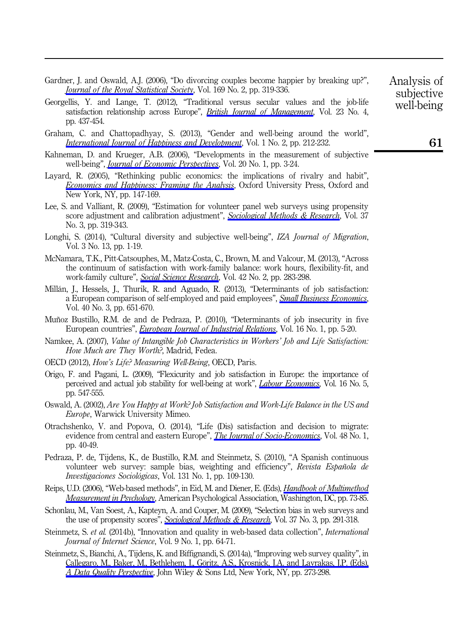- Gardner, J. and Oswald, A.J. (2006), "Do divorcing couples become happier by breaking up?", [Journal of the Royal Statistical Society](http://www.emeraldinsight.com/action/showLinks?crossref=10.1111%2Fj.1467-985X.2006.00403.x&isi=000235333700009), Vol. 169 No. 2, pp. 319-336.
- Georgellis, Y. and Lange, T. (2012), "Traditional versus secular values and the job-life satisfaction relationship across Europe", *[British Journal of Management](http://www.emeraldinsight.com/action/showLinks?crossref=10.1111%2Fj.1467-8551.2011.00753.x&isi=000311389700001)*, Vol. 23 No. 4, pp. 437-454.
- Graham, C. and Chattopadhyay, S. (2013), "Gender and well-being around the world", [International Journal of Happiness and Development](http://www.emeraldinsight.com/action/showLinks?crossref=10.1504%2FIJHD.2013.055648), Vol. 1 No. 2, pp. 212-232.
- Kahneman, D. and Krueger, A.B. (2006), "Developments in the measurement of subjective well-being", *[Journal of Economic Perspectives](http://www.emeraldinsight.com/action/showLinks?crossref=10.1257%2F089533006776526030&isi=000236639000001)*, Vol. 20 No. 1, pp. 3-24.
- Layard, R. (2005), "Rethinking public economics: the implications of rivalry and habit", [Economics and Happiness: Framing the Analysis](http://www.emeraldinsight.com/action/showLinks?crossref=10.1093%2F0199286280.003.0006), Oxford University Press, Oxford and New York, NY, pp. 147-169.
- Lee, S. and Valliant, R. (2009), "Estimation for volunteer panel web surveys using propensity score adjustment and calibration adjustment", [Sociological Methods & Research](http://www.emeraldinsight.com/action/showLinks?crossref=10.1177%2F0049124108329643&isi=000263482500003), Vol. 37 No. 3, pp. 319-343.
- Longhi, S. (2014), "Cultural diversity and subjective well-being", IZA Journal of Migration, Vol. 3 No. 13, pp. 1-19.
- McNamara, T.K., Pitt-Catsouphes, M., Matz-Costa, C., Brown, M. and Valcour, M. (2013), "Across the continuum of satisfaction with work-family balance: work hours, flexibility-fit, and work-family culture", [Social Science Research](http://www.emeraldinsight.com/action/showLinks?crossref=10.1016%2Fj.ssresearch.2012.10.002&isi=000315016700003), Vol. 42 No. 2, pp. 283-298.
- Millán, J., Hessels, J., Thurik, R. and Aguado, R. (2013), "Determinants of job satisfaction: a European comparison of self-employed and paid employees", [Small Business Economics](http://www.emeraldinsight.com/action/showLinks?crossref=10.1007%2Fs11187-011-9380-1&isi=000314697900010), Vol. 40 No. 3, pp. 651-670.
- Muñoz Bustillo, R.M. de and de Pedraza, P. (2010), "Determinants of job insecurity in five European countries", *[European Journal of Industrial Relations](http://www.emeraldinsight.com/action/showLinks?crossref=10.1177%2F0959680109355306&isi=000274724500001)*, Vol. 16 No. 1, pp. 5-20.
- Namkee, A. (2007), Value of Intangible Job Characteristics in Workers' Job and Life Satisfaction: How Much are They Worth?, Madrid, Fedea.
- OECD (2012), How's Life? Measuring Well-Being, OECD, Paris.
- Origo, F. and Pagani, L. (2009), "Flexicurity and job satisfaction in Europe: the importance of perceived and actual job stability for well-being at work", *[Labour Economics](http://www.emeraldinsight.com/action/showLinks?crossref=10.1016%2Fj.labeco.2009.02.003&isi=000270163200008)*, Vol. 16 No. 5, pp. 547-555.
- Oswald, A. (2002), Are You Happy at Work? Job Satisfaction and Work-Life Balance in the US and Europe, Warwick University Mimeo.
- Otrachshenko, V. and Popova, O. (2014), "Life (Dis) satisfaction and decision to migrate: evidence from central and eastern Europe", *[The Journal of Socio-Economics](http://www.emeraldinsight.com/action/showLinks?crossref=10.1016%2Fj.socec.2013.09.008)*, Vol. 48 No. 1, pp. 40-49.
- Pedraza, P. de, Tijdens, K., de Bustillo, R.M. and Steinmetz, S. (2010), "A Spanish continuous volunteer web survey: sample bias, weighting and efficiency", Revista Española de Investigaciones Sociológicas, Vol. 131 No. 1, pp. 109-130.
- Reips, U.D. (2006), "Web-based methods", in Eid, M. and Diener, E. (Eds), *[Handbook of Multimethod](http://www.emeraldinsight.com/action/showLinks?crossref=10.1037%2F11383-006)* [Measurement in Psychology](http://www.emeraldinsight.com/action/showLinks?crossref=10.1037%2F11383-006), American Psychological Association, Washington, DC, pp. 73-85.
- Schonlau, M., Van Soest, A., Kapteyn, A. and Couper, M. (2009), "Selection bias in web surveys and the use of propensity scores", [Sociological Methods & Research](http://www.emeraldinsight.com/action/showLinks?crossref=10.1177%2F0049124108327128&isi=000263482500002), Vol. 37 No. 3, pp. 291-318.
- Steinmetz, S. et al. (2014b), "Innovation and quality in web-based data collection", International Journal of Internet Science, Vol. 9 No. 1, pp. 64-71.
- Steinmetz, S., Bianchi, A., Tijdens, K. and Biffignandi, S. (2014a), "Improving web survey quality", in [Callegaro, M., Baker, M., Bethlehem, J., Göritz, A.S., Krosnick, J.A. and Lavrakas, J.P. \(Eds\),](http://www.emeraldinsight.com/action/showLinks?crossref=10.1002%2F9781118763520.ch12) [A Data Quality Perspective](http://www.emeraldinsight.com/action/showLinks?crossref=10.1002%2F9781118763520.ch12), John Wiley & Sons Ltd, New York, NY, pp. 273-298.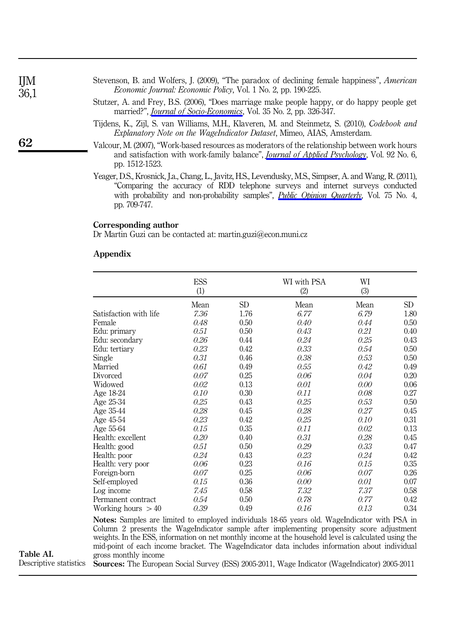| IJM<br>36,1 | Stevenson, B. and Wolfers, J. (2009), "The paradox of declining female happiness", <i>American</i><br><i>Economic Journal: Economic Policy, Vol. 1 No. 2, pp. 190-225.</i>                                            |
|-------------|-----------------------------------------------------------------------------------------------------------------------------------------------------------------------------------------------------------------------|
|             | Stutzer, A. and Frey, B.S. (2006), "Does marriage make people happy, or do happy people get<br>married?", <i>Journal of Socio-Economics</i> , Vol. 35 No. 2, pp. 326-347.                                             |
|             | Tijdens, K., Zijl, S. van Williams, M.H., Klaveren, M. and Steinmetz, S. (2010), <i>Codebook and</i><br><i>Explanatory Note on the WageIndicator Dataset, Mimeo, AIAS, Amsterdam.</i>                                 |
| 62          | Valcour, M. (2007), "Work-based resources as moderators of the relationship between work hours<br>and satisfaction with work-family balance", <i>Journal of Abblied Psychology</i> , Vol. 92 No. 6,<br>pp. 1512-1523. |

Yeager, D.S., Krosnick, J.a., Chang, L., Javitz, H.S., Levendusky, M.S., Simpser, A. and Wang, R. (2011), "Comparing the accuracy of RDD telephone surveys and internet surveys conducted with probability and non-probability samples", *[Public Opinion Quarterly](http://www.emeraldinsight.com/action/showLinks?crossref=10.1093%2Fpoq%2Fnfr020&isi=000296630500005)*, Vol. 75 No. 4, pp. 709-747.

#### Corresponding author

Dr Martin Guzi can be contacted at: martin.guzi@econ.muni.cz

#### Appendix

|                        | ESS<br>(1) |      | WI with PSA<br>(2) | WI<br>(3) |      |
|------------------------|------------|------|--------------------|-----------|------|
|                        | Mean       | SD   | Mean               | Mean      | SD.  |
| Satisfaction with life | 7.36       | 1.76 | 6.77               | 6.79      | 1.80 |
| Female                 | 0.48       | 0.50 | 0.40               | 0.44      | 0.50 |
| Edu: primary           | 0.51       | 0.50 | 0.43               | 0.21      | 0.40 |
| Edu: secondary         | 0.26       | 0.44 | 0.24               | 0.25      | 0.43 |
| Edu: tertiary          | 0.23       | 0.42 | 0.33               | 0.54      | 0.50 |
| Single                 | 0.31       | 0.46 | 0.38               | 0.53      | 0.50 |
| Married                | 0.61       | 0.49 | 0.55               | 0.42      | 0.49 |
| Divorced               | 0.07       | 0.25 | 0.06               | 0.04      | 0.20 |
| Widowed                | 0.02       | 0.13 | 0.01               | 0.00      | 0.06 |
| Age 18-24              | 0.10       | 0.30 | 0.11               | 0.08      | 0.27 |
| Age 25-34              | 0.25       | 0.43 | 0.25               | 0.53      | 0.50 |
| Age 35-44              | 0.28       | 0.45 | 0.28               | 0.27      | 0.45 |
| Age 45-54              | 0.23       | 0.42 | 0.25               | 0.10      | 0.31 |
| Age 55-64              | 0.15       | 0.35 | 0.11               | 0.02      | 0.13 |
| Health: excellent      | 0.20       | 0.40 | 0.31               | 0.28      | 0.45 |
| Health: good           | 0.51       | 0.50 | 0.29               | 0.33      | 0.47 |
| Health: poor           | 0.24       | 0.43 | 0.23               | 0.24      | 0.42 |
| Health: very poor      | 0.06       | 0.23 | 0.16               | 0.15      | 0.35 |
| Foreign-born           | 0.07       | 0.25 | 0.06               | 0.07      | 0.26 |
| Self-employed          | 0.15       | 0.36 | 0.00               | 0.01      | 0.07 |
| Log income             | 7.45       | 0.58 | 7.32               | 7.37      | 0.58 |
| Permanent contract     | 0.54       | 0.50 | 0.78               | 0.77      | 0.42 |
| Working hours $>40$    | 0.39       | 0.49 | 0.16               | 0.13      | 0.34 |

Notes: Samples are limited to employed individuals 18-65 years old. WageIndicator with PSA in Column 2 presents the WageIndicator sample after implementing propensity score adjustment weights. In the ESS, information on net monthly income at the household level is calculated using the mid-point of each income bracket. The WageIndicator data includes information about individual gross monthly income

Table AI.

Sources: The European Social Survey (ESS) 2005-2011, Wage Indicator (WageIndicator) 2005-2011 Descriptive statistics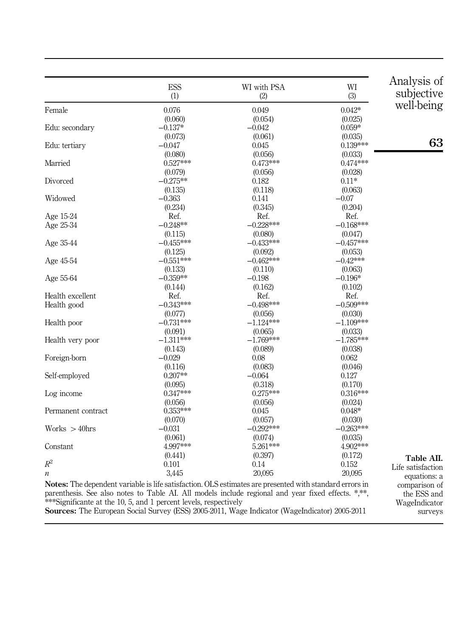|                                                                  | <b>ESS</b><br>(1)     | WI with PSA<br>(2)                                                                                      | WI<br>(3)             | Analysis of<br>subjective |
|------------------------------------------------------------------|-----------------------|---------------------------------------------------------------------------------------------------------|-----------------------|---------------------------|
| Female                                                           | 0.076                 | 0.049                                                                                                   | $0.042*$              | well-being                |
|                                                                  | (0.060)               | (0.054)                                                                                                 | (0.025)               |                           |
| Edu: secondary                                                   | $-0.137*$             | $-0.042$                                                                                                | $0.059^{\ast}$        |                           |
|                                                                  | (0.073)               | (0.061)                                                                                                 | (0.035)               |                           |
| Edu: tertiary                                                    | $-0.047$              | 0.045                                                                                                   | $0.139***$            | 63                        |
|                                                                  | (0.080)               | (0.056)                                                                                                 | (0.033)               |                           |
| Married                                                          | $0.527***$            | 0.473***                                                                                                | $0.474***$            |                           |
|                                                                  | (0.079)               | (0.056)                                                                                                 | (0.028)               |                           |
| Divorced                                                         | $-0.275**$            | 0.182                                                                                                   | $0.11*$               |                           |
|                                                                  | (0.135)               | (0.118)                                                                                                 | (0.063)               |                           |
| Widowed                                                          | $-0.363$              | 0.141                                                                                                   | $-0.07$               |                           |
|                                                                  | (0.234)               | (0.345)                                                                                                 | (0.204)               |                           |
| Age 15-24                                                        | Ref.                  | Ref.                                                                                                    | Ref.                  |                           |
| Age 25-34                                                        | $-0.248**$            | $-0.228***$                                                                                             | $-0.168***$           |                           |
|                                                                  | (0.115)               | (0.080)                                                                                                 | (0.047)               |                           |
| Age 35-44                                                        | $-0.455***$           | $-0.433***$                                                                                             | $-0.457***$           |                           |
|                                                                  | (0.125)               | (0.092)                                                                                                 | (0.053)               |                           |
| Age 45-54                                                        | $-0.551***$           | $-0.462***$                                                                                             | $-0.42***$            |                           |
|                                                                  | (0.133)               | (0.110)                                                                                                 | (0.063)               |                           |
| Age 55-64                                                        | $-0.359**$            | $-0.198$                                                                                                | $-0.196*$             |                           |
|                                                                  | (0.144)               | (0.162)                                                                                                 | (0.102)               |                           |
| Health excellent                                                 | Ref.                  | Ref.                                                                                                    | Ref.                  |                           |
| Health good                                                      | $-0.343***$           | $-0.498***$                                                                                             | $-0.509***$           |                           |
|                                                                  | (0.077)               | (0.056)                                                                                                 | (0.030)               |                           |
| Health poor                                                      | $-0.731***$           | $-1.124***$                                                                                             | $-1.109***$           |                           |
|                                                                  | (0.091)               | (0.065)                                                                                                 | (0.033)               |                           |
| Health very poor                                                 | $-1.311***$           | $-1.769***$                                                                                             | $-1.785***$           |                           |
|                                                                  | (0.143)               | (0.089)                                                                                                 | (0.038)               |                           |
| Foreign-born                                                     | $-0.029$              | 0.08                                                                                                    | 0.062                 |                           |
|                                                                  | (0.116)               | (0.083)                                                                                                 | (0.046)               |                           |
| Self-employed                                                    | $0.207**$             | $-0.064$                                                                                                | 0.127                 |                           |
|                                                                  |                       |                                                                                                         |                       |                           |
|                                                                  | (0.095)<br>$0.347***$ | (0.318)<br>$0.275***$                                                                                   | (0.170)<br>$0.316***$ |                           |
| Log income                                                       |                       |                                                                                                         |                       |                           |
|                                                                  | (0.056)               | (0.056)                                                                                                 | (0.024)               |                           |
| Permanent contract                                               | $0.353***$            | 0.045                                                                                                   | $0.048*$              |                           |
|                                                                  | (0.070)               | (0.057)                                                                                                 | (0.030)               |                           |
| Works $>40$ hrs                                                  | $-0.031$              | $-0.292***$                                                                                             | $-0.263***$           |                           |
|                                                                  | (0.061)               | (0.074)                                                                                                 | (0.035)               |                           |
| Constant                                                         | 4.997***              | $5.261***$                                                                                              | 4.902***              |                           |
|                                                                  | (0.441)               | (0.397)                                                                                                 | (0.172)               | Table AII.                |
| $\mathbb{R}^2$                                                   | 0.101                 | 0.14                                                                                                    | 0.152                 | Life satisfaction         |
| $\boldsymbol{n}$                                                 | 3,445                 | 20,095                                                                                                  | 20,095                | equations: a              |
|                                                                  |                       | Notes: The dependent variable is life satisfaction. OLS estimates are presented with standard errors in |                       | comparison of             |
|                                                                  |                       | parenthesis. See also notes to Table AI. All models include regional and year fixed effects. *.**,      |                       | the ESS and               |
| ***Significante at the 10, 5, and 1 percent levels, respectively |                       |                                                                                                         |                       | WageIndicator             |

Sources: The European Social Survey (ESS) 2005-2011, Wage Indicator (WageIndicator) 2005-2011

WageIndicator surveys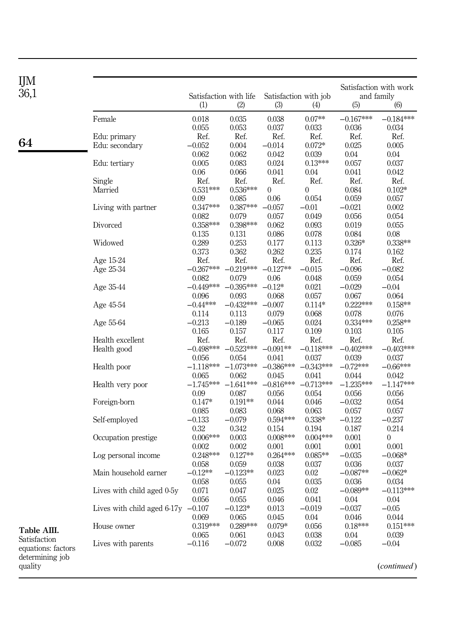| ИM<br>36,1                         |                                      |                    |                               |                     |                              |                | Satisfaction with work  |
|------------------------------------|--------------------------------------|--------------------|-------------------------------|---------------------|------------------------------|----------------|-------------------------|
|                                    |                                      | (1)                | Satisfaction with life<br>(2) | (3)                 | Satisfaction with job<br>(4) | (5)            | and family<br>(6)       |
|                                    | Female                               | 0.018              | 0.035                         | 0.038               | $0.07**$                     | $-0.167***$    | $-0.184***$             |
|                                    |                                      | 0.055              | 0.053                         | 0.037               | 0.033                        | 0.036          | 0.034                   |
| 64                                 | Edu: primary                         | Ref.<br>$-0.052$   | Ref.<br>0.004                 | Ref.<br>$-0.014$    | Ref.<br>$0.072*$             | Ref.<br>0.025  | Ref.<br>0.005           |
|                                    | Edu: secondary                       | 0.062              | 0.062                         | 0.042               | 0.039                        | 0.04           | 0.04                    |
|                                    | Edu: tertiary                        | 0.005              | 0.083                         | 0.024               | $0.13***$                    | 0.057          | 0.037                   |
|                                    |                                      | $0.06\,$           | 0.066                         | 0.041               | 0.04                         | 0.041          | 0.042                   |
|                                    | Single                               | Ref.               | Ref.                          | Ref.                | Ref.                         | Ref.           | Ref.                    |
|                                    | Married                              | $0.531***$         | $0.536***$                    | 0                   | $\mathbf{0}$                 | 0.084          | $0.102*$                |
|                                    |                                      | 0.09               | 0.085                         | 0.06                | 0.054                        | 0.059          | 0.057                   |
|                                    | Living with partner                  | $0.347***$         | $0.387***$                    | $-0.057$            | $-0.01$                      | $-0.021$       | 0.002                   |
|                                    |                                      | 0.082              | 0.079                         | 0.057               | 0.049                        | 0.056          | 0.054                   |
|                                    | Divorced                             | $0.358***$         | $0.398***$                    | 0.062               | 0.093                        | 0.019          | 0.055                   |
|                                    |                                      | 0.135              | 0.131                         | 0.086               | 0.078                        | 0.084          | 0.08                    |
|                                    | Widowed                              | 0.289              | 0.253                         | 0.177               | 0.113                        | $0.326*$       | 0.338**                 |
|                                    |                                      | 0.373              | 0.362                         | 0.262               | 0.235                        | 0.174          | 0.162                   |
|                                    | Age 15-24                            | Ref.               | Ref.                          | Ref.                | Ref.                         | Ref.           | Ref.                    |
|                                    | Age 25-34                            | $-0.267***$        | $-0.219***$                   | $-0.127**$          | $-0.015$                     | $-0.096$       | $-0.082$                |
|                                    |                                      | 0.082              | 0.079                         | 0.06                | 0.048                        | 0.059          | 0.054                   |
|                                    | Age 35-44                            | $-0.449***$        | $-0.395***$                   | $-0.12*$            | 0.021                        | $-0.029$       | $-0.04$                 |
|                                    |                                      | 0.096              | 0.093                         | 0.068               | 0.057                        | 0.067          | 0.064                   |
|                                    | Age 45-54                            | $-0.44***$         | $-0.432***$                   | $-0.007$            | $0.114*$                     | $0.222***$     | $0.158**$               |
|                                    |                                      | 0.114              | 0.113                         | 0.079               | 0.068                        | 0.078          | 0.076                   |
|                                    | Age 55-64                            | $-0.213$           | $-0.189$                      | $-0.065$            | 0.024                        | $0.334***$     | $0.258**$               |
|                                    |                                      | 0.165              | 0.157                         | 0.117               | 0.109                        | 0.103          | 0.105                   |
|                                    | Health excellent                     | Ref.               | Ref.                          | Ref.                | Ref.                         | Ref.           | Ref.                    |
|                                    | Health good                          | $-0.498***$        | $-0.523***$                   | $-0.091**$          | $-0.118***$                  | $-0.402***$    | $-0.403***$             |
|                                    |                                      | 0.056              | 0.054                         | 0.041               | 0.037                        | 0.039          | 0.037                   |
|                                    | Health poor                          | $-1.118***$        | $-1.073***$                   | $-0.386***$         | $-0.343***$                  | $-0.72***$     | $-0.66***$              |
|                                    |                                      | 0.065              | 0.062                         | 0.045               | 0.041                        | 0.044          | 0.042                   |
|                                    | Health very poor                     | $-1.745***$        | $-1.641***$                   | $-0.816***$         | $-0.713***$                  | $-1.235***$    | $-1.147***$             |
|                                    |                                      | 0.09               | 0.087                         | 0.056               | 0.054                        | 0.056          | 0.056                   |
|                                    | Foreign-born                         | $0.147*$           | $0.191**$                     | 0.044               | 0.046                        | $-0.032$       | 0.054                   |
|                                    |                                      | 0.085              | 0.083                         | 0.068               | 0.063                        | 0.057          | 0.057                   |
|                                    | Self-employed                        | $-0.133$           | $-0.079$                      | $0.594***$          | $0.338*$<br>0.194            | $-0.122$       | $-0.237$                |
|                                    |                                      | 0.32<br>$0.006***$ | 0.342<br>0.003                | 0.154<br>$0.008***$ | $0.004***$                   | 0.187<br>0.001 | 0.214<br>$\overline{0}$ |
|                                    | Occupation prestige                  | 0.002              | 0.002                         | 0.001               | 0.001                        | 0.001          | 0.001                   |
|                                    | Log personal income                  | $0.248***$         | $0.127**$                     | $0.264***$          | $0.085**$                    | $-0.035$       | $-0.068*$               |
|                                    |                                      | 0.058              | 0.059                         | 0.038               | 0.037                        | 0.036          | 0.037                   |
|                                    | Main household earner                | $-0.12**$          | $-0.123**$                    | 0.023               | 0.02                         | $-0.087**$     | $-0.062*$               |
|                                    |                                      | 0.058              | 0.055                         | 0.04                | 0.035                        | 0.036          | 0.034                   |
|                                    | Lives with child aged 0-5y           | 0.071              | 0.047                         | 0.025               | $\rm 0.02$                   | $-0.089**$     | $-0.113***$             |
|                                    |                                      | 0.056              | 0.055                         | 0.046               | 0.041                        | 0.04           | 0.04                    |
|                                    | Lives with child aged $6-17y$ -0.107 |                    | $-0.123*$                     | 0.013               | $-0.019$                     | $-0.037$       | $-0.05$                 |
|                                    |                                      | 0.069              | 0.065                         | 0.045               | 0.04                         | 0.046          | 0.044                   |
|                                    | House owner                          | $0.319***$         | $0.289***$                    | $0.079*$            | 0.056                        | $0.18***$      | $0.151***$              |
| Table AIII.                        |                                      | 0.065              | 0.061                         | 0.043               | 0.038                        | 0.04           | 0.039                   |
| Satisfaction<br>equations: factors | Lives with parents                   | $-0.116$           | $-0.072$                      | $0.008\,$           | 0.032                        | $-0.085$       | $-0.04$                 |
| determining job                    |                                      |                    |                               |                     |                              |                |                         |
| quality                            |                                      |                    |                               |                     |                              |                | (continued)             |
|                                    |                                      |                    |                               |                     |                              |                |                         |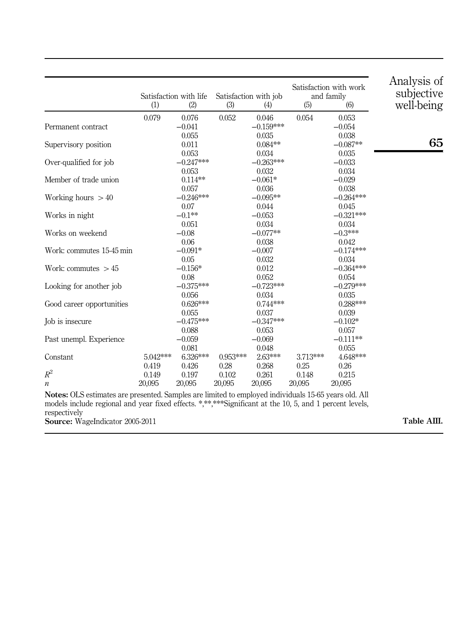|                           | (1)      | Satisfaction with life<br>(2) | (3)        | Satisfaction with job<br>(4) | (5)      | Satisfaction with work<br>and family<br>(6) | Analysis of<br>subjective<br>well-being |
|---------------------------|----------|-------------------------------|------------|------------------------------|----------|---------------------------------------------|-----------------------------------------|
|                           | 0.079    | 0.076                         | 0.052      | 0.046                        | 0.054    | 0.053                                       |                                         |
| Permanent contract        |          | $-0.041$                      |            | $-0.159***$                  |          | $-0.054$                                    |                                         |
|                           |          | 0.055                         |            | 0.035                        |          | 0.038                                       |                                         |
| Supervisory position      |          | 0.011                         |            | $0.084**$                    |          | $-0.087**$                                  | 65                                      |
|                           |          | 0.053                         |            | 0.034                        |          | 0.035                                       |                                         |
| Over-qualified for job    |          | $-0.247***$                   |            | $-0.263***$                  |          | $-0.033$                                    |                                         |
|                           |          | 0.053                         |            | 0.032                        |          | 0.034                                       |                                         |
| Member of trade union     |          | $0.114**$                     |            | $-0.061*$                    |          | $-0.029$                                    |                                         |
|                           |          | 0.057                         |            | 0.036                        |          | 0.038                                       |                                         |
| Working hours $>40$       |          | $-0.246***$                   |            | $-0.095**$                   |          | $-0.264***$                                 |                                         |
|                           |          | 0.07                          |            | 0.044                        |          | 0.045                                       |                                         |
| Works in night            |          | $-0.1**$                      |            | $-0.053$                     |          | $-0.321***$                                 |                                         |
|                           |          | 0.051                         |            | 0.034                        |          | 0.034                                       |                                         |
| Works on weekend          |          | $-0.08$                       |            | $-0.077**$                   |          | $-0.3***$                                   |                                         |
|                           |          | 0.06                          |            | 0.038                        |          | 0.042                                       |                                         |
| Work: commutes 15-45 min  |          | $-0.091*$                     |            | $-0.007$                     |          | $-0.174***$                                 |                                         |
|                           |          | 0.05                          |            | 0.032                        |          | 0.034                                       |                                         |
| Work: commutes $>45$      |          | $-0.156*$                     |            | 0.012                        |          | $-0.364***$                                 |                                         |
|                           |          | 0.08                          |            | 0.052                        |          | 0.054                                       |                                         |
| Looking for another job   |          | $-0.375***$                   |            | $-0.723***$                  |          | $-0.279***$                                 |                                         |
|                           |          | 0.056                         |            | 0.034                        |          | 0.035                                       |                                         |
| Good career opportunities |          | 0.626***                      |            | $0.744***$                   |          | $0.288***$                                  |                                         |
|                           |          | 0.055                         |            | 0.037                        |          | 0.039                                       |                                         |
| Job is insecure           |          | $-0.475***$                   |            | $-0.347***$                  |          | $-0.102*$                                   |                                         |
|                           |          | 0.088                         |            | 0.053                        |          | 0.057                                       |                                         |
| Past unempl. Experience   |          | $-0.059$                      |            | $-0.069$                     |          | $-0.111**$                                  |                                         |
|                           |          | 0.081                         |            | 0.048                        |          | 0.055                                       |                                         |
| Constant                  | 5.042*** | 6.326***                      | $0.953***$ | 2.63***                      | 3.713*** | 4.648***                                    |                                         |
|                           | 0.419    | 0.426                         | 0.28       | 0.268                        | 0.25     | 0.26                                        |                                         |
| $R^2$                     | 0.149    | 0.197                         | 0.102      | 0.261                        | 0.148    | 0.215                                       |                                         |
| п                         | 20,095   | 20,095                        | 20,095     | 20,095                       | 20,095   | 20,095                                      |                                         |

Notes: OLS estimates are presented. Samples are limited to employed individuals 15-65 years old. All models include regional and year fixed effects. \*,\*\*,\*\*\*Significant at the 10, 5, and 1 percent levels, respectively Source: WageIndicator 2005-2011 Table AIII.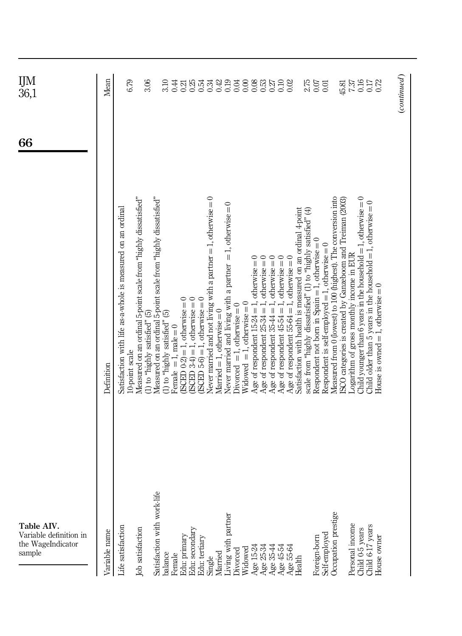| Table AIV.<br>Variable definition in<br>the WageIndicator<br>sample                                                             |                                                                                                                              | IJM<br>36,1<br>66 |
|---------------------------------------------------------------------------------------------------------------------------------|------------------------------------------------------------------------------------------------------------------------------|-------------------|
| Variable name                                                                                                                   | Definition                                                                                                                   | Mean              |
| Life satisfaction                                                                                                               | Satisfaction with life as-a-whole is measured on an ordinal                                                                  |                   |
|                                                                                                                                 | 10-point scale                                                                                                               | 6.79              |
| Job satisfaction                                                                                                                | Measured on an ordinal 5-point scale from "highly dissatisfied"<br>$\widehat{\Theta}$<br>(1) to "highly satisfied"           | 3.06              |
| Satisfaction with work-life                                                                                                     | Measured on an ordinal 5-point scale from "highly dissatisfied"                                                              |                   |
| balance                                                                                                                         | $(1)$ to "highly satisfied" $(5)$                                                                                            | 3.10              |
| Female                                                                                                                          | Female $= 1$ , male $= 0$                                                                                                    | 0.44              |
| Edu: primary                                                                                                                    | (ISCED $0.2$ ) = 1, otherwise = 0                                                                                            | 0.21              |
| Edu: secondary                                                                                                                  | (ISCED 3-4) = 1, otherwise = 0                                                                                               | 0.25              |
| Edu: tertiary                                                                                                                   | (ISCED 5-6) = 1, otherwise = $0$                                                                                             | 0.54              |
| Single                                                                                                                          | Never married and not living with a partner $= 1$ , otherwise $= 0$                                                          | 0.42<br>0.34      |
| Living with partner<br>Married                                                                                                  | Never married and living with a partner $=1$ , otherwise $=0$<br>Married $= 1$ , otherwise $= 0$                             | 0.19              |
| <b>Jivorced</b>                                                                                                                 | Divorced $=1$ , otherwise $=0$                                                                                               | 0.04              |
| Widowed                                                                                                                         | Widowed $=1$ , otherwise $=0$                                                                                                | 0.00              |
|                                                                                                                                 | Age of respondent 15-24 = 1, otherwise = $0$                                                                                 | 0.08              |
| $\begin{array}{c} \text{Age 15-24} \\ \text{Age 25-34} \\ \text{Age 35-44} \\ \text{Age 45-54} \\ \text{Age 45-54} \end{array}$ | Age of respondent $25-34 = 1$ , otherwise = 0                                                                                | 0.53              |
|                                                                                                                                 | Age of respondent $35-44 = 1$ , otherwise = 0                                                                                | 0.27              |
|                                                                                                                                 | Age of respondent $45-54 = 1$ , otherwise = 0                                                                                | 0.10              |
| Age 55-64<br>Health                                                                                                             | Age of respondent 55-64 = 1, otherwise = $0$                                                                                 | 0.02              |
|                                                                                                                                 | scale from "highly dissatistied" (1) to "highly satisfied" (4)<br>Satisfaction with health is measured on an ordinal 4-point | 2.75              |
| Foreign-born                                                                                                                    | Respondent not born in Spain = 1, otherwise = $0$                                                                            | 0.07              |
| <b>Self-employed</b>                                                                                                            | Respondent is self-employed $= 1$ , otherwise $= 0$                                                                          | 0.01              |
| Occupation prestige                                                                                                             | Measured from 0 (lowest) to 100 (highest). The conversion into                                                               |                   |
|                                                                                                                                 | ISCO categories is created by Ganzeboom and Treiman (2003)                                                                   | 45.81             |
| Personal income                                                                                                                 | Logarithm of gross monthly income in EUR                                                                                     | 737               |
| Child 6-17 years<br>Child 0-5 years                                                                                             | Child younger than 6 years in the household $= 1$ , otherwise $= 0$                                                          | 0.16<br>0.17      |
| House owner                                                                                                                     | Child older than 5 years in the household $= 1$ , otherwise $= 0$<br>House is owned $=1$ , otherwise $=0$                    | 0.72              |
|                                                                                                                                 |                                                                                                                              |                   |
|                                                                                                                                 |                                                                                                                              | (continued)       |
|                                                                                                                                 |                                                                                                                              |                   |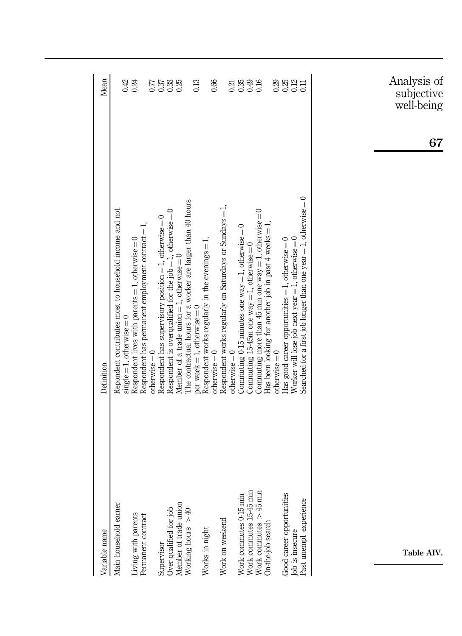| The contractual hours for a worker are larger than 40 hours<br>Respondent works regularly on Saturdays or Sundays $= 1$ ,<br>Repondent contributes most to household income and not<br>Respondent is overqualified for the job $= 1$ , otherwise $= 0$<br>Respondent has supervisory position $= 1$ , otherwise $= 0$<br>Respondent has permanent employment contract $= 1$ ,<br>Commuting 0-15 minutes one way = 1, otherwise = $0$<br>Respondent lives with parents $= 1$ , otherwise $= 0$<br>Respondent works regularly in the evenings $= 1$ ,<br>Member of a trade union $= 1$ , otherwise $= 0$<br>per week = 1, otherwise = $0$<br>single $= 1$ , otherwise $= 0$<br>$otherwise = 0$<br>$otherwise = 0$<br>$otherwise = 0$<br>Work commutes 0-15 min<br>Member of trade union<br>Main household earner<br>Over-qualified for job<br>Working hours $> 40$<br>Living with parents<br>Permanent contract<br>Work on weekend<br>Works in night<br>Supervisor | 0.42<br>0.33<br>0.24<br>77<br>77.0 |
|------------------------------------------------------------------------------------------------------------------------------------------------------------------------------------------------------------------------------------------------------------------------------------------------------------------------------------------------------------------------------------------------------------------------------------------------------------------------------------------------------------------------------------------------------------------------------------------------------------------------------------------------------------------------------------------------------------------------------------------------------------------------------------------------------------------------------------------------------------------------------------------------------------------------------------------------------------------|------------------------------------|
|                                                                                                                                                                                                                                                                                                                                                                                                                                                                                                                                                                                                                                                                                                                                                                                                                                                                                                                                                                  |                                    |
|                                                                                                                                                                                                                                                                                                                                                                                                                                                                                                                                                                                                                                                                                                                                                                                                                                                                                                                                                                  |                                    |
|                                                                                                                                                                                                                                                                                                                                                                                                                                                                                                                                                                                                                                                                                                                                                                                                                                                                                                                                                                  |                                    |
|                                                                                                                                                                                                                                                                                                                                                                                                                                                                                                                                                                                                                                                                                                                                                                                                                                                                                                                                                                  | 0.25                               |
|                                                                                                                                                                                                                                                                                                                                                                                                                                                                                                                                                                                                                                                                                                                                                                                                                                                                                                                                                                  | 0.13                               |
|                                                                                                                                                                                                                                                                                                                                                                                                                                                                                                                                                                                                                                                                                                                                                                                                                                                                                                                                                                  | 0.66<br>$\overline{0}$             |
| Commuting 15-45m one way $=$ 1, otherwise $=$ 0<br>Work commutes 15-45 min                                                                                                                                                                                                                                                                                                                                                                                                                                                                                                                                                                                                                                                                                                                                                                                                                                                                                       | 0.49<br>0.35                       |
| Commuting more than 45 min one way = 1, otherwise = $0$<br>Has been looking for another job in past $4$ weeks $= 1$ ,<br>Work commutes $> 45$ min<br>On-the-job search                                                                                                                                                                                                                                                                                                                                                                                                                                                                                                                                                                                                                                                                                                                                                                                           | 0.16                               |
| Worker will lose job next year $= 1$ , otherwise $= 0$<br>Has good career opportunities $= 1$ , otherwise $= 0$<br>$otherwise = 0$<br>Good career opportunities<br>Job is insecure                                                                                                                                                                                                                                                                                                                                                                                                                                                                                                                                                                                                                                                                                                                                                                               | 0.25<br>0.12<br>0.29               |
| Searched for a first job longer than one year $= 1$ , otherwise $= 0$<br>Past unempl. experience                                                                                                                                                                                                                                                                                                                                                                                                                                                                                                                                                                                                                                                                                                                                                                                                                                                                 | $\overline{0}11$                   |